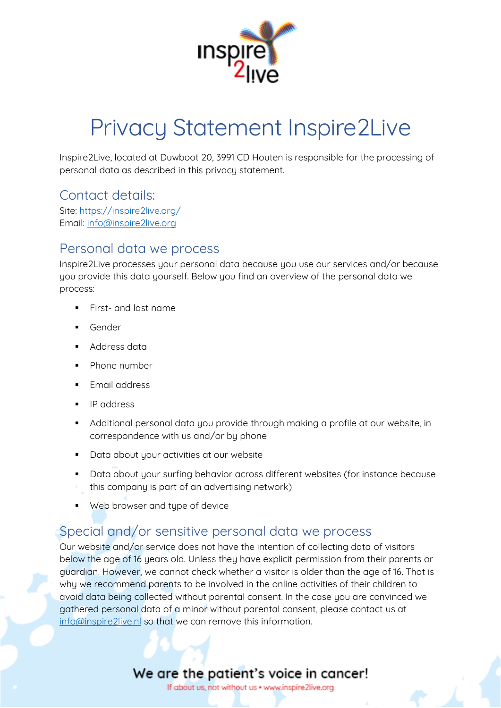

# Privacy Statement Inspire2Live

Inspire2Live, located at Duwboot 20, 3991 CD Houten is responsible for the processing of personal data as described in this privacy statement.

#### Contact details:

Site: <https://inspire2live.org/> Email: [info@inspire2live.org](mailto:info@inspire2live.org)

#### Personal data we process

Inspire2Live processes your personal data because you use our services and/or because you provide this data yourself. Below you find an overview of the personal data we process:

- First- and last name
- Gender
- Address data
- Phone number
- Email address
- IP address
- Additional personal data you provide through making a profile at our website, in correspondence with us and/or by phone
- Data about your activities at our website
- Data about your surfing behavior across different websites (for instance because this company is part of an advertising network)
- Web browser and type of device

#### Special and/or sensitive personal data we process

Our website and/or service does not have the intention of collecting data of visitors below the age of 16 years old. Unless they have explicit permission from their parents or guardian. However, we cannot check whether a visitor is older than the age of 16. That is why we recommend parents to be involved in the online activities of their children to avoid data being collected without parental consent. In the case you are convinced we gathered personal data of a minor without parental consent, please contact us at [info@inspire2live.nl](mailto:info@inspire2live.nl) so that we can remove this information.

### We are the patient's voice in cancer!

If about us, not without us . www.inspire2live.org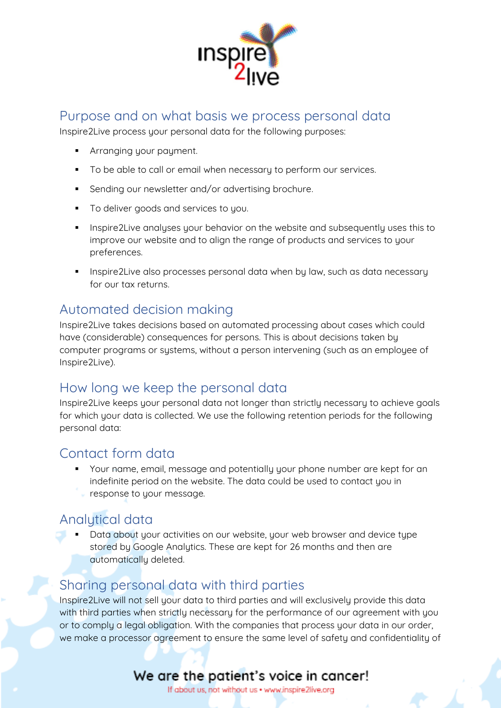

#### Purpose and on what basis we process personal data

Inspire2Live process your personal data for the following purposes:

- **■** Arranging your payment.
- To be able to call or email when necessary to perform our services.
- Sending our newsletter and/or advertising brochure.
- To deliver goods and services to you.
- Inspire2Live analyses your behavior on the website and subsequently uses this to improve our website and to align the range of products and services to your preferences.
- **•** Inspire2Live also processes personal data when by law, such as data necessary for our tax returns.

#### Automated decision making

Inspire2Live takes decisions based on automated processing about cases which could have (considerable) consequences for persons. This is about decisions taken by computer programs or systems, without a person intervening (such as an employee of Inspire2Live).

#### How long we keep the personal data

Inspire2Live keeps your personal data not longer than strictly necessary to achieve goals for which your data is collected. We use the following retention periods for the following personal data:

#### Contact form data

▪ Your name, email, message and potentially your phone number are kept for an indefinite period on the website. The data could be used to contact you in response to your message.

#### Analytical data

Data about your activities on our website, your web browser and device type stored by Google Analytics. These are kept for 26 months and then are automatically deleted.

#### Sharing personal data with third parties

Inspire2Live will not sell your data to third parties and will exclusively provide this data with third parties when strictly necessary for the performance of our agreement with you or to comply a legal obligation. With the companies that process your data in our order, we make a processor agreement to ensure the same level of safety and confidentiality of

## We are the patient's voice in cancer!

If about us, not without us . www.inspire2live.org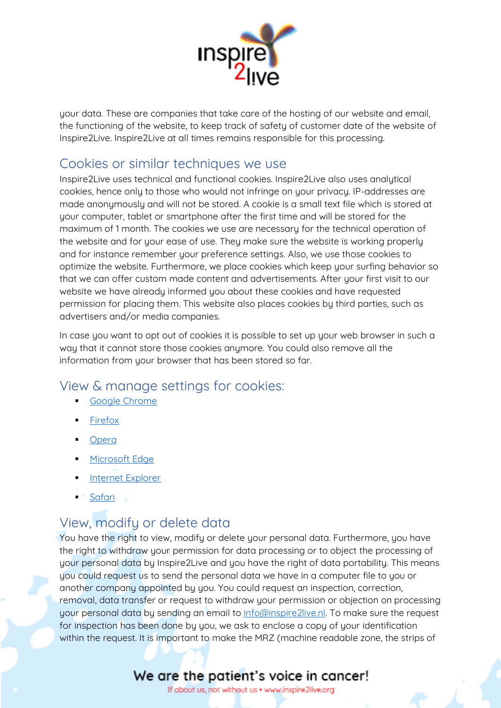

your data. These are companies that take care of the hosting of our website and email, the functioning of the website, to keep track of safety of customer date of the website of Inspire2Live. Inspire2Live at all times remains responsible for this processing.

#### Cookies or similar techniques we use

Inspire2Live uses technical and functional cookies. Inspire2Live also uses analytical cookies, hence only to those who would not infringe on your privacy. IP-addresses are made anonymously and will not be stored. A cookie is a small text file which is stored at your computer, tablet or smartphone after the first time and will be stored for the maximum of 1 month. The cookies we use are necessary for the technical operation of the website and for your ease of use. They make sure the website is working properly and for instance remember your preference settings. Also, we use those cookies to optimize the website. Furthermore, we place cookies which keep your surfing behavior so that we can offer custom made content and advertisements. After your first visit to our website we have already informed you about these cookies and have requested permission for placing them. This website also places cookies by third parties, such as advertisers and/or media companies.

In case you want to opt out of cookies it is possible to set up your web browser in such a way that it cannot store those cookies anymore. You could also remove all the information from your browser that has been stored so far.

#### View & manage settings for cookies:

- [Google Chrome](https://support.google.com/chrome/answer/95647?co=GENIE.Platform%3DDesktop&hl=en-GB)
- **[Firefox](https://support.mozilla.org/en-US/kb/how-clear-firefox-cache)**
- [Opera](https://help.opera.com/en/latest/web-preferences/)
- **■** [Microsoft Edge](https://support.microsoft.com/en-gb/help/4468242/microsoft-edge-browsing-data-and-privacy-microsoft-privacy)
- **Internet Explorer**
- <sup>■</sup> [Safari](https://support.apple.com/en-gb/guide/safari/manage-cookies-and-website-data-sfri11471/mac)

## View, modify or delete data

You have the right to view, modify or delete your personal data. Furthermore, you have the right to withdraw your permission for data processing or to object the processing of your personal data by Inspire2Live and you have the right of data portability. This means you could request us to send the personal data we have in a computer file to you or another company appointed by you. You could request an inspection, correction, removal, data transfer or request to withdraw your permission or objection on processing your personal data by sending an email to [info@inspire2live.nl.](mailto:info@inspire2live.nl) To make sure the request for inspection has been done by you, we ask to enclose a copy of your identification within the request. It is important to make the MRZ (machine readable zone, the strips of

## We are the patient's voice in cancer!

If about us, not without us . www.inspire2live.org